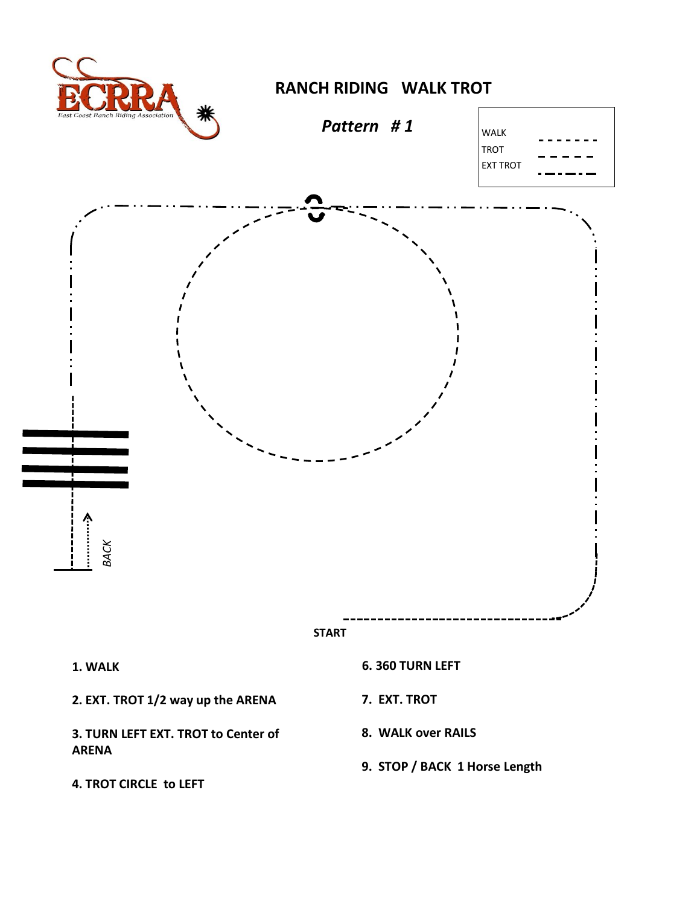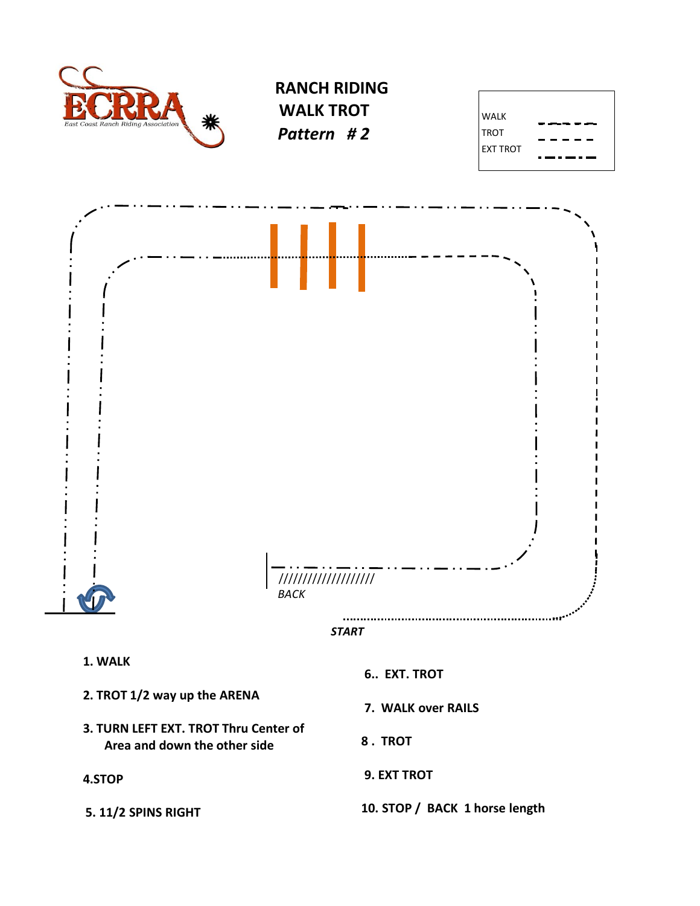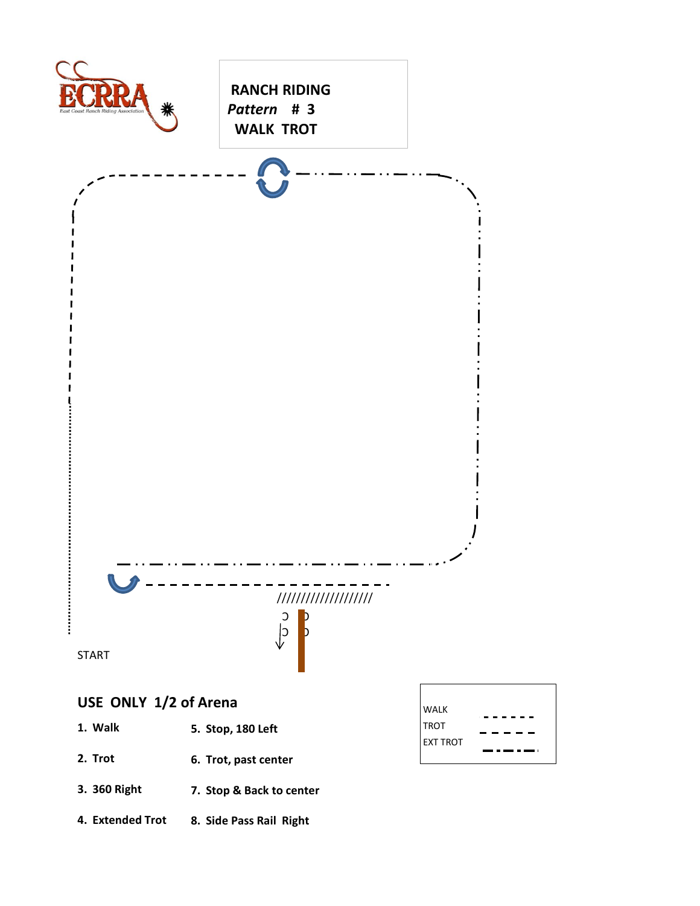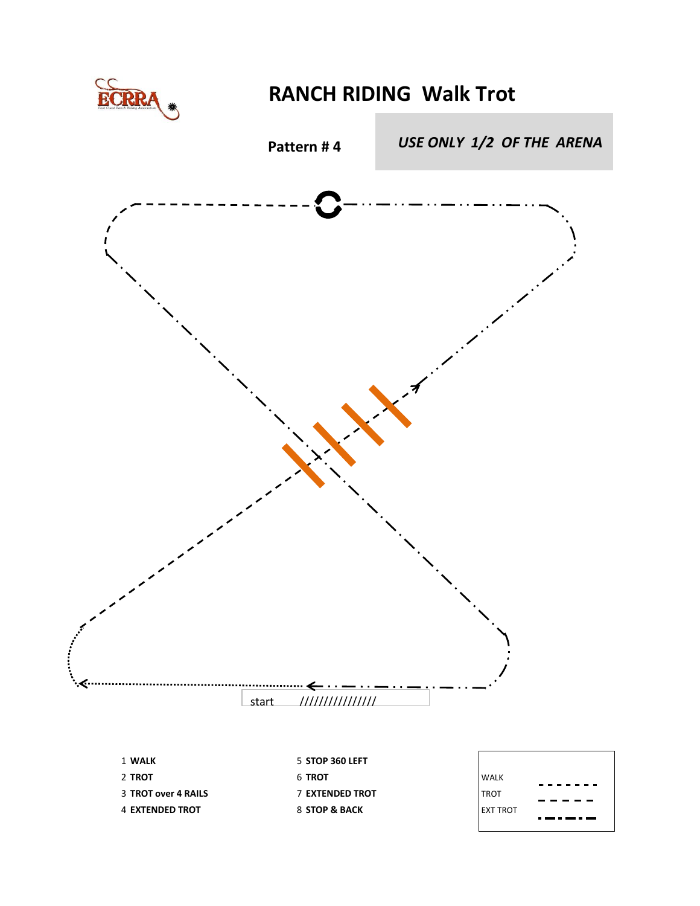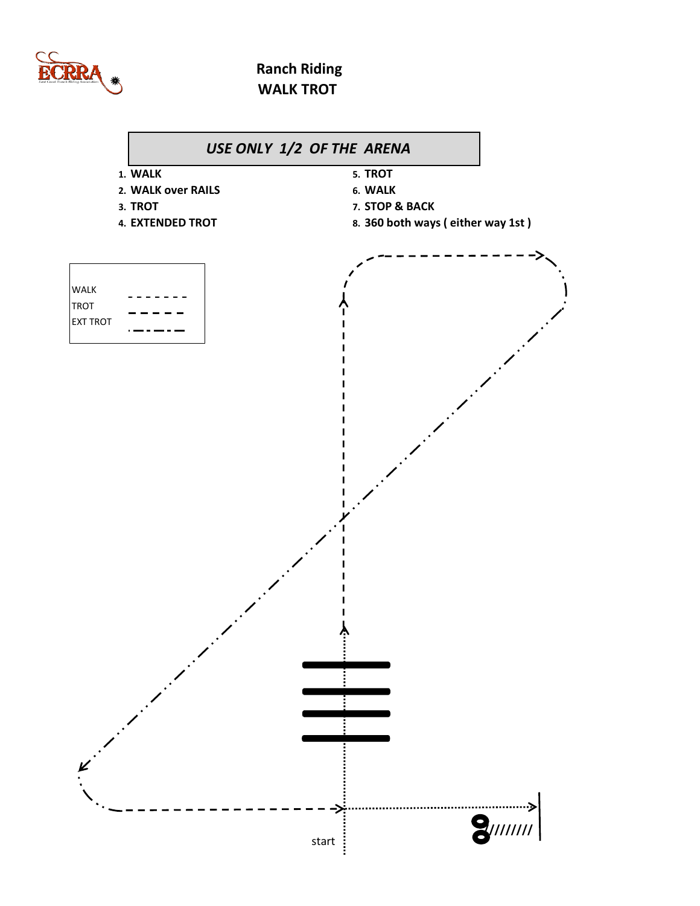

## **Ranch Riding WALK TROT**

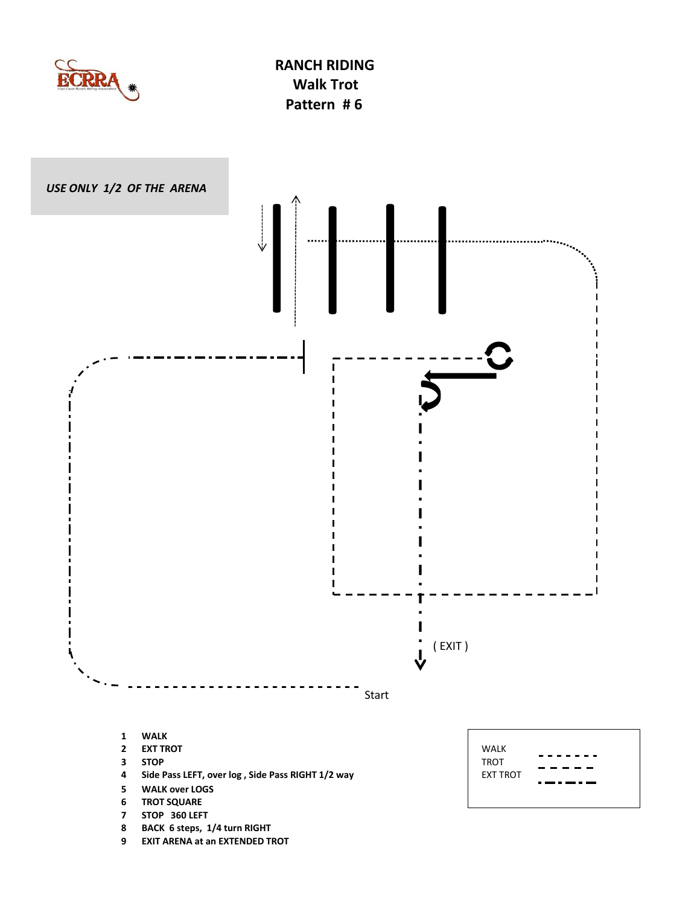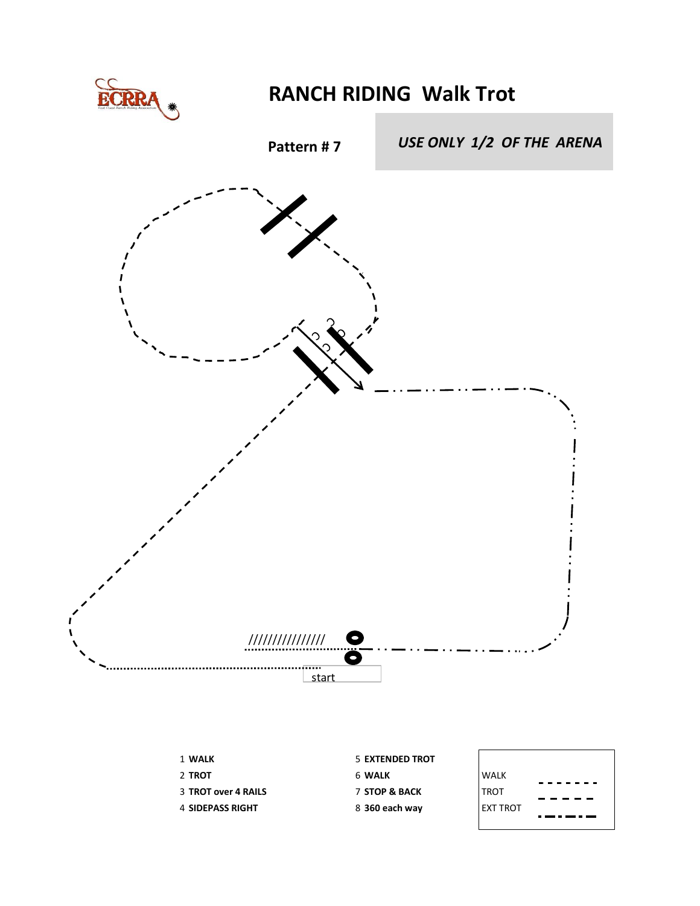

## **RANCH RIDING Walk Trot**



| <b>1 WALK</b>              | 5 EXTENDED TROT          |                 |
|----------------------------|--------------------------|-----------------|
| 2 TROT                     | 6 WALK                   | WALK            |
| <b>3 TROT over 4 RAILS</b> | <b>7 STOP &amp; BACK</b> | <b>TROT</b>     |
| 4 SIDEPASS RIGHT           | 8 360 each way           | <b>EXT TROT</b> |